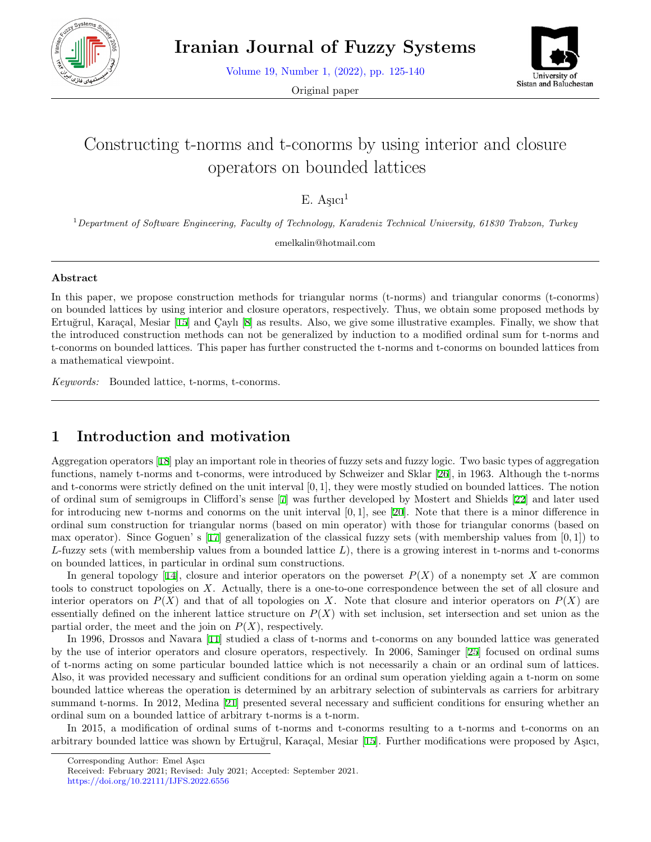

Volume 19, Number 1, (2022), pp. 125-140

Original paper



# Constructing t-norms and t-conorms by using interior and closure operators on bounded lattices

 $E.$  Asici<sup>1</sup>

<sup>1</sup>*Department of Software Engineering, Faculty of Technology, Karadeniz Technical University, 61830 Trabzon, Turkey*

emelkalin@hotmail.com

#### **Abstract**

In this paper, we propose construction methods for triangular norms (t-norms) and triangular conorms (t-conorms) on bounded lattices by using interior and closure operators, respectively. Thus, we obtain some proposed methods by Ertuğrul, Karaçal, Mesiar [\[15](#page-15-0)] and Çaylı [\[8](#page-14-0)] as results. Also, we give some illustrative examples. Finally, we show that the introduced construction methods can not be generalized by induction to a modified ordinal sum for t-norms and t-conorms on bounded lattices. This paper has further constructed the t-norms and t-conorms on bounded lattices from a mathematical viewpoint.

*Keywords:* Bounded lattice, t-norms, t-conorms.

### **1 Introduction and motivation**

Aggregation operators [\[18](#page-15-1)] play an important role in theories of fuzzy sets and fuzzy logic. Two basic types of aggregation functions, namely t-norms and t-conorms, were introduced by Schweizer and Sklar [[26](#page-15-2)], in 1963. Although the t-norms and t-conorms were strictly defined on the unit interval [0*,* 1], they were mostly studied on bounded lattices. The notion of ordinal sum of semigroups in Clifford's sense [[7\]](#page-14-1) was further developed by Mostert and Shields [\[22](#page-15-3)] and later used for introducing new t-norms and conorms on the unit interval [0*,* 1], see [[20\]](#page-15-4). Note that there is a minor difference in ordinal sum construction for triangular norms (based on min operator) with those for triangular conorms (based on max operator). Since Goguen' s [[17\]](#page-15-5) generalization of the classical fuzzy sets (with membership values from [0*,* 1]) to *L*-fuzzy sets (with membership values from a bounded lattice *L*), there is a growing interest in t-norms and t-conorms on bounded lattices, in particular in ordinal sum constructions.

In general topology [[14\]](#page-15-6), closure and interior operators on the powerset  $P(X)$  of a nonempty set X are common tools to construct topologies on *X*. Actually, there is a one-to-one correspondence between the set of all closure and interior operators on  $P(X)$  and that of all topologies on X. Note that closure and interior operators on  $P(X)$  are essentially defined on the inherent lattice structure on  $P(X)$  with set inclusion, set intersection and set union as the partial order, the meet and the join on  $P(X)$ , respectively.

In 1996, Drossos and Navara [\[11](#page-15-7)] studied a class of t-norms and t-conorms on any bounded lattice was generated by the use of interior operators and closure operators, respectively. In 2006, Saminger [[25](#page-15-8)] focused on ordinal sums of t-norms acting on some particular bounded lattice which is not necessarily a chain or an ordinal sum of lattices. Also, it was provided necessary and sufficient conditions for an ordinal sum operation yielding again a t-norm on some bounded lattice whereas the operation is determined by an arbitrary selection of subintervals as carriers for arbitrary summand t-norms. In 2012, Medina [\[21](#page-15-9)] presented several necessary and sufficient conditions for ensuring whether an ordinal sum on a bounded lattice of arbitrary t-norms is a t-norm.

In 2015, a modification of ordinal sums of t-norms and t-conorms resulting to a t-norms and t-conorms on an arbitrary bounded lattice was shown by Ertuğrul, Karaçal, Mesiar [[15](#page-15-0)]. Further modifications were proposed by Aşıcı,

Corresponding Author: Emel Aşıcı

Received: February 2021; Revised: July 2021; Accepted: September 2021.

https://doi.org/10.22111/IJFS.2022.6556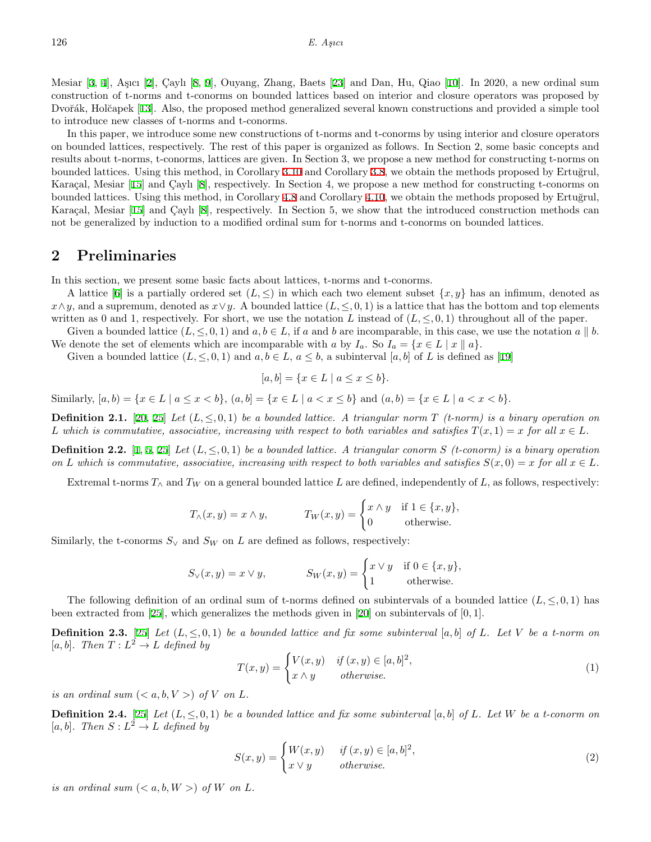Mesiar [[3,](#page-14-2) [4](#page-14-3)], Aşıcı [[2\]](#page-14-4), Caylı [[8,](#page-14-0) [9](#page-14-5)], Ouyang, Zhang, Baets [[23\]](#page-15-10) and Dan, Hu, Qiao [[10\]](#page-15-11). In 2020, a new ordinal sum construction of t-norms and t-conorms on bounded lattices based on interior and closure operators was proposed by Dvořák, Holčapek [[13\]](#page-15-12). Also, the proposed method generalized several known constructions and provided a simple tool to introduce new classes of t-norms and t-conorms.

In this paper, we introduce some new constructions of t-norms and t-conorms by using interior and closure operators on bounded lattices, respectively. The rest of this paper is organized as follows. In Section 2, some basic concepts and results about t-norms, t-conorms, lattices are given. In Section 3, we propose a new method for constructing t-norms on bounded lattices. Using this method, in Corollary [3.10](#page-8-0) and Corollary [3.8,](#page-7-0) we obtain the methods proposed by Ertuğrul, Karaçal, Mesiar  $[15]$  $[15]$  and Caylı  $[8]$  $[8]$ , respectively. In Section 4, we propose a new method for constructing t-conorms on bounded lattices. Using this method, in Corollary [4.8](#page-10-0) and Corollary [4.10,](#page-11-0) we obtain the methods proposed by Ertuğrul, Karaçal, Mesiar  $[15]$  $[15]$  $[15]$  and Çaylı  $[8]$  $[8]$ , respectively. In Section 5, we show that the introduced construction methods can not be generalized by induction to a modified ordinal sum for t-norms and t-conorms on bounded lattices.

#### **2 Preliminaries**

In this section, we present some basic facts about lattices, t-norms and t-conorms.

A lattice [[6\]](#page-14-6) is a partially ordered set  $(L, \leq)$  in which each two element subset  $\{x, y\}$  has an infimum, denoted as  $x \land y$ , and a supremum, denoted as  $x \lor y$ . A bounded lattice (*L*,  $\leq$ , 0*,* 1) is a lattice that has the bottom and top elements written as 0 and 1, respectively. For short, we use the notation *L* instead of  $(L, \leq, 0, 1)$  throughout all of the paper.

Given a bounded lattice  $(L, \leq, 0, 1)$  and  $a, b \in L$ , if a and b are incomparable, in this case, we use the notation  $a \parallel b$ . We denote the set of elements which are incomparable with *a* by  $I_a$ . So  $I_a = \{x \in L \mid x \parallel a\}$ .

Given a bounded lattice  $(L, \leq, 0, 1)$  and  $a, b \in L$ ,  $a \leq b$ , a subinterval  $[a, b]$  of L is defined as [\[19](#page-15-13)]

$$
[a, b] = \{x \in L \mid a \le x \le b\}.
$$

Similarly,  $[a, b) = \{x \in L \mid a \le x \le b\}$ ,  $(a, b) = \{x \in L \mid a < x \le b\}$  and  $(a, b) = \{x \in L \mid a < x \le b\}$ .

**Definition 2.1.** [[20,](#page-15-4) [25\]](#page-15-8) Let  $(L, \leq 0, 1)$  be a bounded lattice. A triangular norm  $T$  (t-norm) is a binary operation on *L* which is commutative, associative, increasing with respect to both variables and satisfies  $T(x, 1) = x$  for all  $x \in L$ .

**Definition 2.2.** [[1,](#page-14-7) [5](#page-14-8), [25](#page-15-8)] *Let*  $(L, \leq, 0, 1)$  *be a bounded lattice. A triangular conorm S (t-conorm) is a binary operation on L* which is commutative, associative, increasing with respect to both variables and satisfies  $S(x, 0) = x$  for all  $x \in L$ .

Extremal t-norms  $T_\wedge$  and  $T_W$  on a general bounded lattice L are defined, independently of L, as follows, respectively:

$$
T_{\wedge}(x,y) = x \wedge y, \qquad T_W(x,y) = \begin{cases} x \wedge y & \text{if } 1 \in \{x,y\}, \\ 0 & \text{otherwise.} \end{cases}
$$

Similarly, the t-conorms  $S_{\vee}$  and  $S_{W}$  on *L* are defined as follows, respectively:

$$
S_{\vee}(x,y) = x \vee y, \qquad S_W(x,y) = \begin{cases} x \vee y & \text{if } 0 \in \{x,y\}, \\ 1 & \text{otherwise.} \end{cases}
$$

The following definition of an ordinal sum of t-norms defined on subintervals of a bounded lattice  $(L, \le 0, 1)$  has been extracted from [[25](#page-15-8)], which generalizes the methods given in [[20\]](#page-15-4) on subintervals of [0*,* 1].

**Definition 2.3.** [\[25](#page-15-8)] Let  $(L, \leq, 0, 1)$  be a bounded lattice and fix some subinterval  $[a, b]$  of L. Let V be a t-norm on  $[a, b]$ *. Then*  $T: L^2 \to L$  *defined by* 

<span id="page-1-0"></span>
$$
T(x,y) = \begin{cases} V(x,y) & \text{if } (x,y) \in [a,b]^2, \\ x \wedge y & \text{otherwise.} \end{cases}
$$
 (1)

*is an ordinal sum*  $(*a, b, V>*$ *) of V on L.* 

**Definition 2.4.** [\[25](#page-15-8)] *Let*  $(L, \leq, 0, 1)$  *be a bounded lattice and fix some subinterval* [a, b] *of L. Let W be a t-conorm on*  $[a, b]$ *. Then*  $S: L^2 \to L$  *defined by* 

<span id="page-1-1"></span>
$$
S(x,y) = \begin{cases} W(x,y) & \text{if } (x,y) \in [a,b]^2, \\ x \vee y & \text{otherwise.} \end{cases}
$$
 (2)

*is an ordinal sum*  $(*a, b, W>*$ *) of W on L.*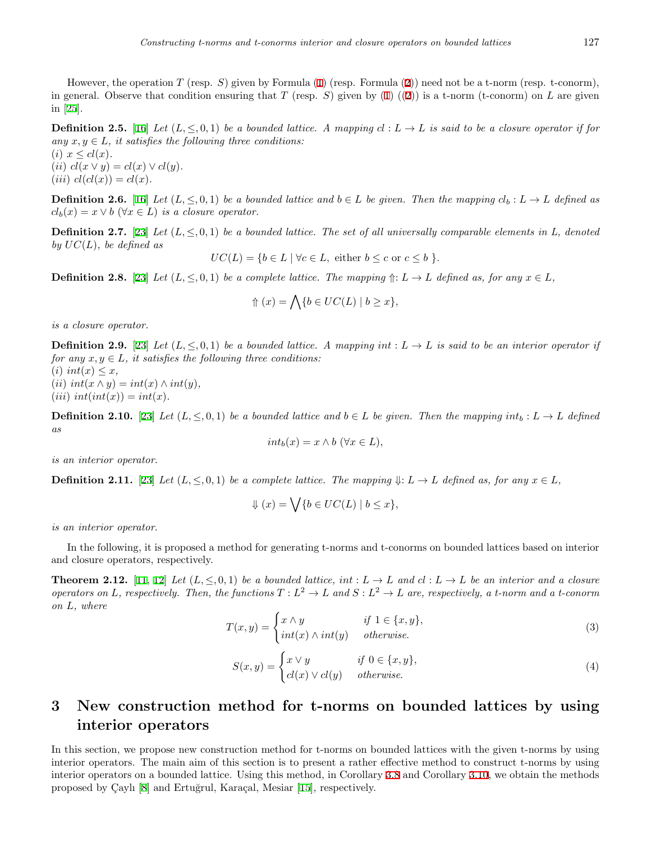However, the operation *T* (resp. *S*) given by Formula ([1\)](#page-1-0) (resp. Formula [\(2](#page-1-1))) need not be a t-norm (resp. t-conorm), in general. Observe that condition ensuring that *T* (resp. *S*) given by ([1\)](#page-1-0) (([2\)](#page-1-1)) is a t-norm (t-conorm) on *L* are given in [[25\]](#page-15-8).

<span id="page-2-3"></span>**Definition 2.5.** [\[16](#page-15-14)] *Let*  $(L, \leq, 0, 1)$  *be a bounded lattice. A mapping*  $cl: L \to L$  *is said to be a closure operator if for any*  $x, y \in L$ *, it satisfies the following three conditions:* 

 $(i)$   $x \leq cl(x)$ .  $(iii)$   $cl(x \vee y) = cl(x) \vee cl(y)$ .  $(iii)$   $cl(cl(x)) = cl(x)$ .

**Definition 2.6.** [\[16](#page-15-14)] Let  $(L, \leq, 0, 1)$  be a bounded lattice and  $b \in L$  be given. Then the mapping  $cl_b: L \to L$  defined as  $cl_b(x) = x \vee b \ (\forall x \in L)$  *is a closure operator.* 

**Definition 2.7.** [\[23](#page-15-10)] *Let*  $(L, \leq 0, 1)$  *be a bounded lattice. The set of all universally comparable elements in L, denoted by*  $UC(L)$ *, be defined as* 

 $UC(L) = \{b \in L \mid \forall c \in L, \text{ either } b \leq c \text{ or } c \leq b \}.$ 

<span id="page-2-4"></span>**Definition 2.8.** [\[23](#page-15-10)] *Let*  $(L, \leq, 0, 1)$  *be a complete lattice. The mapping*  $\Uparrow : L \to L$  *defined as, for any*  $x \in L$ *,* 

$$
\Uparrow(x) = \bigwedge \{ b \in UC(L) \mid b \ge x \},
$$

*is a closure operator.*

<span id="page-2-1"></span>**Definition 2.9.** [[23\]](#page-15-10) Let  $(L, \leq 0, 1)$  be a bounded lattice. A mapping int :  $L \to L$  is said to be an interior operator if *for any*  $x, y \in L$ *, it satisfies the following three conditions:* 

 $(i)$  *int* $(x) \leq x$ ,  $(iii)$   $int(x \wedge y) = int(x) \wedge int(y)$ ,  $(iii)$   $int(int(x)) = int(x)$ .

**Definition 2.10.** [\[23](#page-15-10)] Let  $(L, \leq, 0, 1)$  be a bounded lattice and  $b \in L$  be given. Then the mapping  $int_b : L \to L$  defined *as*

$$
int_b(x) = x \wedge b \ (\forall x \in L),
$$

*is an interior operator.*

<span id="page-2-2"></span>**Definition 2.11.** [[23\]](#page-15-10) *Let*  $(L, \leq, 0, 1)$  *be a complete lattice. The mapping*  $\Downarrow: L \to L$  *defined as, for any*  $x \in L$ *,* 

$$
\Downarrow (x) = \bigvee \{ b \in UC(L) \mid b \le x \},
$$

*is an interior operator.*

In the following, it is proposed a method for generating t-norms and t-conorms on bounded lattices based on interior and closure operators, respectively.

**Theorem 2.[12](#page-15-15).** [\[11](#page-15-7), 12] Let  $(L, \le 0, 1)$  be a bounded lattice, int :  $L \to L$  and  $cl : L \to L$  be an interior and a closure *operators on L*, respectively. Then, the functions  $T: L^2 \to L$  and  $S: L^2 \to L$  are, respectively, a t-norm and a t-conorm *on L, where*

$$
T(x,y) = \begin{cases} x \wedge y & \text{if } 1 \in \{x,y\}, \\ int(x) \wedge int(y) & otherwise. \end{cases}
$$
 (3)

$$
S(x,y) = \begin{cases} x \lor y & \text{if } 0 \in \{x,y\}, \\ cl(x) \lor cl(y) & otherwise. \end{cases}
$$
 (4)

### **3 New construction method for t-norms on bounded lattices by using interior operators**

<span id="page-2-0"></span>In this section, we propose new construction method for t-norms on bounded lattices with the given t-norms by using interior operators. The main aim of this section is to present a rather effective method to construct t-norms by using interior operators on a bounded lattice. Using this method, in Corollary [3.8](#page-7-0) and Corollary [3.10](#page-8-0), we obtain the methods proposed by Çaylı [\[8](#page-14-0)] and Ertuğrul, Karaçal, Mesiar [[15](#page-15-0)], respectively.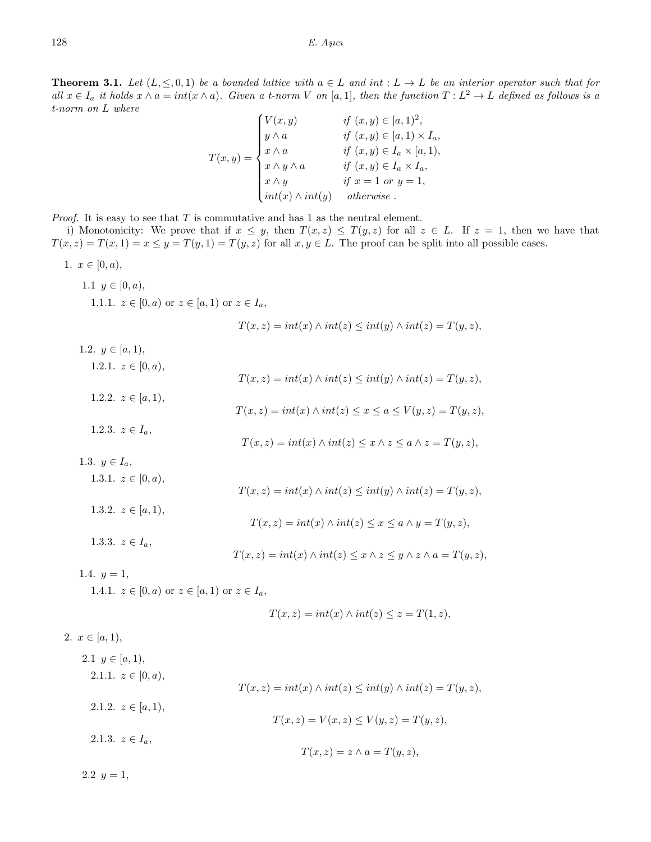**Theorem 3.1.** Let  $(L, \leq 0, 1)$  be a bounded lattice with  $a \in L$  and int :  $L \to L$  be an interior operator such that for all  $x \in I_a$  it holds  $x \wedge a = int(x \wedge a)$ . Given a t-norm V on [a, 1], then the function  $T: L^2 \to L$  defined as follows is a *t-norm on L where*

$$
T(x,y) = \begin{cases} V(x,y) & \text{if } (x,y) \in [a,1)^2, \\ y \wedge a & \text{if } (x,y) \in [a,1) \times I_a, \\ x \wedge a & \text{if } (x,y) \in I_a \times [a,1), \\ x \wedge y \wedge a & \text{if } (x,y) \in I_a \times I_a, \\ x \wedge y & \text{if } x = 1 \text{ or } y = 1, \\ int(x) \wedge int(y) & otherwise. \end{cases}
$$

*Proof.* It is easy to see that *T* is commutative and has 1 as the neutral element.

i) Monotonicity: We prove that if  $x \leq y$ , then  $T(x, z) \leq T(y, z)$  for all  $z \in L$ . If  $z = 1$ , then we have that  $T(x, z) = T(x, 1) = x \leq y = T(y, 1) = T(y, z)$  for all  $x, y \in L$ . The proof can be split into all possible cases.

1.  $x \in [0, a),$ 1.1  $y \in [0, a)$ , 1.1.1.  $z \in [0, a)$  or  $z \in [a, 1)$  or  $z \in I_a$ ,  $T(x, z) = int(x) \land int(z) \leq int(y) \land int(z) = T(y, z)$ , 1.2.  $y \in [a, 1)$ , 1.2.1.  $z \in [0, a)$ ,  $T(x, z) = int(x) \land int(z) \leq int(y) \land int(z) = T(y, z)$ , 1.2.2.  $z \in [a, 1)$ ,  $T(x, z) = int(x) \land int(z) \leq x \leq a \leq V(y, z) = T(y, z)$ , 1.2.3.  $z \in I_a$ ,  $T(x, z) = int(x) \land int(z) \leq x \land z \leq a \land z = T(y, z)$ , 1.3.  $y \in I_a$ , 1.3.1.  $z \in [0, a),$  $T(x, z) = int(x) \land int(z) \leq int(y) \land int(z) = T(y, z)$ , 1.3.2.  $z \in [a, 1)$ ,  $T(x, z) = int(x) \land int(z) \leq x \leq a \land y = T(y, z)$ , 1.3.3.  $z \in I_a$ ,  $T(x, z) = int(x) \land int(z) \leq x \land z \leq y \land z \land a = T(y, z)$ , 1.4.  $y = 1$ , 1.4.1.  $z \in [0, a)$  or  $z \in [a, 1)$  or  $z \in I_a$ ,  $T(x, z) = int(x) \land int(z) \leq z = T(1, z)$ , 2.  $x \in [a, 1)$ , 2.1  $y \in [a, 1)$ , 2.1.1.  $z \in [0, a)$ ,  $T(x, z) = int(x) \land int(z) \leq int(y) \land int(z) = T(y, z)$ ,

2.1.2.  $z \in [a, 1)$ ,  $T(x, z) = V(x, z) \leq V(y, z) = T(y, z)$ , 2.1.3.  $z \in I_a$ ,  $T(x, z) = z \wedge a = T(y, z)$ ,

2.2  $y = 1$ ,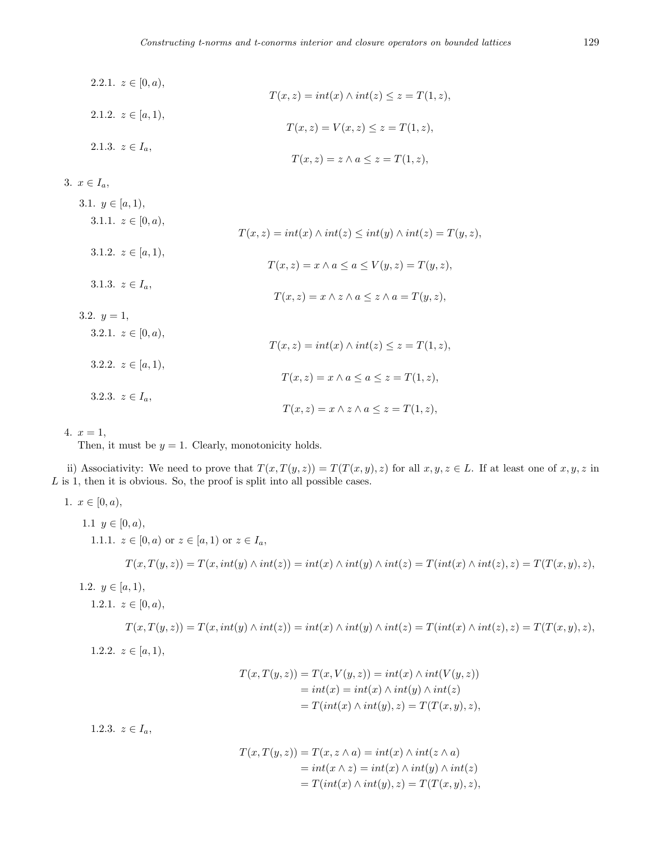- 2.2.1.  $z \in [0, a)$ ,  $T(x, z) = int(x) \land int(z) \leq z = T(1, z)$ , 2.1.2.  $z \in [a, 1)$ ,  $T(x, z) = V(x, z) \leq z = T(1, z)$ , 2.1.3.  $z \in I_a$ ,  $T(x, z) = z \land a \leq z = T(1, z)$ 3.  $x \in I_a$ , 3.1.  $y \in [a, 1)$ , 3.1.1.  $z \in [0, a),$ 
	- $T(x, z) = int(x) \land int(z) \leq int(y) \land int(z) = T(y, z)$ , 3.1.2.  $z \in [a, 1)$ ,  $T(x, z) = x \land a \leq a \leq V(y, z) = T(y, z)$ , 3.1.3.  $z \in I_a$ ,  $T(x, z) = x \land z \land a \leq z \land a = T(y, z)$ , 3.2.  $y=1$ , 3.2.1.  $z \in [0, a),$  $T(x, z) = int(x) \land int(z) \leq z = T(1, z)$ , 3.2.2.  $z \in [a, 1),$  $T(x, z) = x \land a \leq a \leq z = T(1, z),$ 3.2.3.  $z \in I_a$ ,  $T(x, z) = x \land z \land a \leq z = T(1, z)$ ,

4.  $x = 1$ ,

Then, it must be  $y = 1$ . Clearly, monotonicity holds.

ii) Associativity: We need to prove that  $T(x,T(y,z)) = T(T(x,y),z)$  for all  $x, y, z \in L$ . If at least one of  $x, y, z$  in *L* is 1, then it is obvious. So, the proof is split into all possible cases.

1. 
$$
x \in [0, a)
$$
,  
\n1.1  $y \in [0, a)$ ,  
\n1.1.1.  $z \in [0, a)$  or  $z \in [a, 1)$  or  $z \in I_a$ ,  
\n $T(x, T(y, z)) = T(x, int(y) \land int(z)) = int(x) \land int(y) \land int(z) = T(int(x) \land int(z), z) = T(T(x, y), z),$   
\n1.2.1.  $z \in [0, a)$ ,  
\n $T(x, T(y, z)) = T(x, int(y) \land int(z)) = int(x) \land int(y) \land int(z) = T(int(x) \land int(z), z) = T(T(x, y), z),$   
\n1.2.2.  $z \in [a, 1)$ ,  
\n $T(x, T(y, z)) = T(x, V(y, z)) = int(x) \land int(V(y, z))$ 

$$
T(x,T(y,z)) = T(x,V(y,z)) = int(x) \wedge int(V(y,z))
$$
  
=  $int(x) = int(x) \wedge int(y) \wedge int(z)$   
=  $T(int(x) \wedge int(y), z) = T(T(x,y), z),$ 

1.2.3.  $z \in I_a$ ,

$$
T(x,T(y,z)) = T(x, z \wedge a) = int(x) \wedge int(z \wedge a)
$$
  
=  $int(x \wedge z) = int(x) \wedge int(y) \wedge int(z)$   
=  $T(int(x) \wedge int(y), z) = T(T(x, y), z),$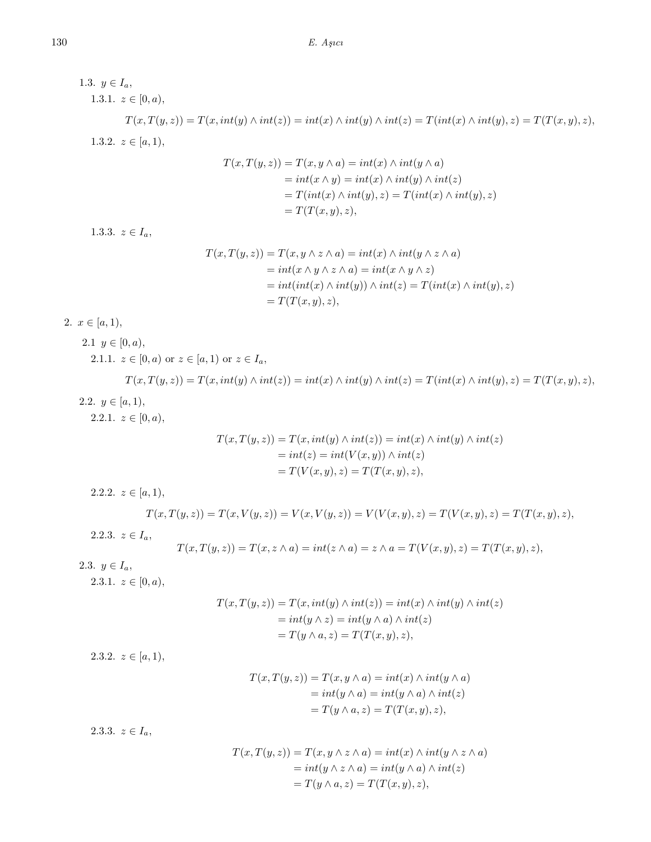1.3.  $y \in I_a$ , 1.3.1.  $z \in [0, a),$  $T(x,T(y,z)) = T(x, int(y) \wedge int(z)) = int(x) \wedge int(y) \wedge int(z) = T(int(x) \wedge int(y), z) = T(T(x,y), z),$ 1.3.2.  $z \in [a, 1)$ ,  $T(x, T(y, z)) = T(x, y \wedge a) = int(x) \wedge int(y \wedge a)$  $= int(x \land y) = int(x) \land int(y) \land int(z)$  $T(int(x) \land int(y), z) = T(int(x) \land int(y), z)$  $=T(T(x, y), z),$ 1.3.3.  $z \in I_a$ ,  $T(x, T(y, z)) = T(x, y \land z \land a) = int(x) \land int(y \land z \land a)$  $=$   $int(x \land y \land z \land a) = int(x \land y \land z)$  $= int(int(x) \land int(y)) \land int(z) = T(int(x) \land int(y), z)$  $=T(T(x,y),z),$ 2.  $x \in [a, 1),$ 2.1  $y \in [0, a)$ , 2.1.1.  $z \in [0, a)$  or  $z \in [a, 1)$  or  $z \in I_a$ ,  $T(x,T(y,z)) = T(x, int(y) \wedge int(z)) = int(x) \wedge int(y) \wedge int(z) = T(int(x) \wedge int(y), z) = T(T(x,y), z),$ 2.2.  $y \in [a, 1)$ , 2.2.1.  $z \in [0, a)$ ,  $T(x,T(y,z)) = T(x, int(y) \wedge int(z)) = int(x) \wedge int(y) \wedge int(z)$  $= int(z) = int(V(x, y)) \wedge int(z)$  $T(V(x, y), z) = T(T(x, y), z),$ 2.2.2.  $z \in [a, 1),$  $T(x,T(y,z)) = T(x,V(y,z)) = V(x,V(y,z)) = V(V(x,y),z) = T(V(x,y),z) = T(T(x,y),z),$ 2.2.3.  $z \in I_a$ ,  $T(x,T(y,z)) = T(x,z \wedge a) = int(z \wedge a) = z \wedge a = T(V(x,y),z) = T(T(x,y),z),$ 2.3.  $y \in I_a$ , 2.3.1.  $z \in [0, a),$  $T(x,T(y,z)) = T(x, int(y) \wedge int(z)) = int(x) \wedge int(y) \wedge int(z)$  $= int(y \wedge z) = int(y \wedge a) \wedge int(z)$  $T(y \wedge a, z) = T(T(x, y), z),$ 2.3.2.  $z \in [a, 1)$ ,  $T(x,T(y,z)) = T(x, y \wedge a) = int(x) \wedge int(y \wedge a)$  $= int(y \wedge a) = int(y \wedge a) \wedge int(z)$  $T(y \wedge a, z) = T(T(x, y), z),$ 2.3.3.  $z \in I_a$ ,  $T(x, T(y, z)) = T(x, y \wedge z \wedge a) = int(x) \wedge int(y \wedge z \wedge a)$  $= int(y \wedge z \wedge a) = int(y \wedge a) \wedge int(z)$  $T(y \wedge a, z) = T(T(x, y), z),$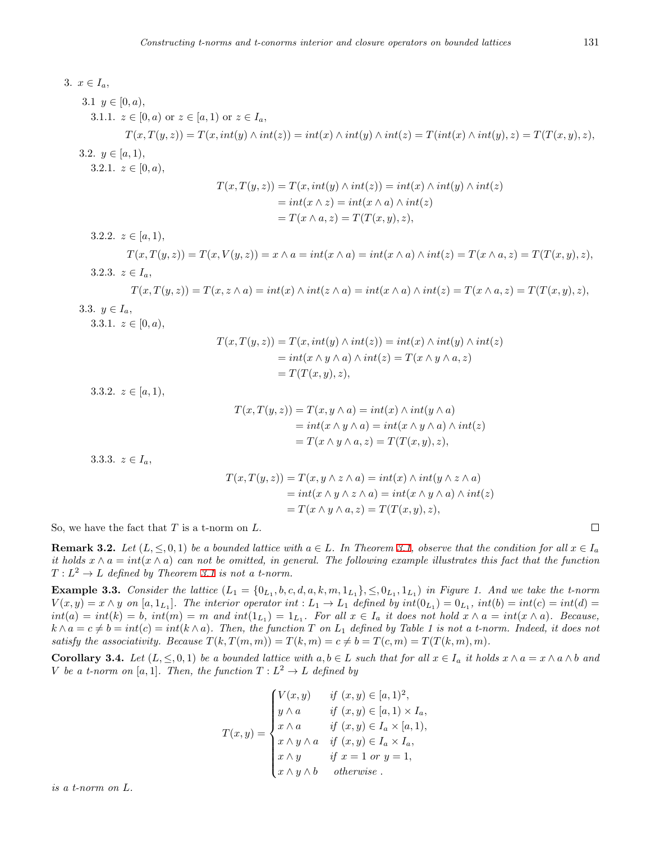3. 
$$
x \in I_a
$$
,  
\n3.1  $y \in [0, a)$ ,  
\n3.1.1.  $z \in [0, a)$  or  $z \in [a, 1)$  or  $z \in I_a$ ,  
\n $T(x, T(y, z)) = T(x, int(y) \land int(z)) = int(x) \land int(y) \land int(z) = T(int(x) \land int(y), z) = T(T(x, y), z)$ ,  
\n3.2.  $y \in [a, 1)$ ,  
\n3.2.1.  $z \in [0, a)$ ,  
\n $T(x, T(y, z)) = T(x, int(y) \land int(z)) = int(x) \land int(y) \land int(z)$   
\n $= int(x \land z) = int(x \land a) \land int(z)$   
\n $= T(x \land a, z) = T(T(x, y), z)$ ,  
\n3.2.2.  $z \in [a, 1)$ ,  
\n $T(x, T(y, z)) = T(x, V(y, z)) = x \land a = int(x \land a) = int(x \land a) \land int(z) = T(x \land a, z) = T(T(x, y), z)$ ,  
\n3.3.3.  $y \in I_a$ ,  
\n $T(x, T(y, z)) = T(x, z \land a) = int(x) \land int(z \land a) = int(x \land a) \land int(z) = T(x \land a, z) = T(T(x, y), z)$ ,  
\n3.3.1.  $z \in [0, a)$ ,  
\n $T(x, T(y, z)) = T(x, int(y) \land int(z)) = int(x) \land int(y) \land int(z)$   
\n $= int(x \land y \land a) \land int(z) = T(x \land y \land a, z)$   
\n $= T(T(x, y), z)$ ,  
\n3.3.2.  $z \in [a, 1)$ ,  
\n $T(x, T(y, z)) = T(x, y \land a) = int(x) \land int(y \land a)$   
\n $= int(x \land y \land a) = int(x \land y \land a) \land int(z)$   
\n $= T(x \land y \land a, z) = T(T(x, y), z)$ ,  
\n3.3.3.  $z \in I_a$ ,  
\n $T(x, T(y, z)) = T(x, y \land a) = int(x \land y \land a) \land int(z)$   
\n $= T(x \$ 

$$
T(x,T(y,z)) = T(x, y \wedge z \wedge a) = int(x) \wedge int(y \wedge z \wedge a)
$$
  
=  $int(x \wedge y \wedge z \wedge a) = int(x \wedge y \wedge a) \wedge int(z)$   
=  $T(x \wedge y \wedge a, z) = T(T(x, y), z),$ 

So, we have the fact that *T* is a t-norm on *L*.

**Remark 3.2.** Let  $(L, \leq, 0, 1)$  be a bounded lattice with  $a \in L$ . In Theorem [3.1](#page-2-0), observe that the condition for all  $x \in I_a$ *it holds*  $x \wedge a = int(x \wedge a)$  *can not be omitted, in general. The following example illustrates this fact that the function*  $T: L^2 \to L$  *defined by Theorem [3.1](#page-2-0) is not a t-norm.* 

**Example 3.3.** Consider the lattice  $(L_1 = \{0_{L_1}, b, c, d, a, k, m, 1_{L_1}\}, \leq, 0_{L_1}, 1_{L_1})$  in Figure 1. And we take the t-norm  $V(x,y) = x \wedge y$  on  $[a,1_{L_1}]$ . The interior operator int :  $L_1 \to L_1$  defined by  $int(0_{L_1}) = 0_{L_1}$ ,  $int(b) = int(c) = int(d)$  $int(a) = int(k) = b$ ,  $int(m) = m$  and  $int(1_{L_1}) = 1_{L_1}$ . For all  $x \in I_a$  it does not hold  $x \wedge a = int(x \wedge a)$ . Because,  $k \wedge a = c \neq b = int(c) = int(k \wedge a)$ . Then, the function T on  $L_1$  defined by Table 1 is not a t-norm. Indeed, it does not *satisfy the associativity. Because*  $T(k, T(m, m)) = T(k, m) = c \neq b = T(c, m) = T(T(k, m), m)$ *.* 

<span id="page-6-0"></span>**Corollary 3.4.** Let  $(L, \leq, 0, 1)$  be a bounded lattice with  $a, b \in L$  such that for all  $x \in I_a$  it holds  $x \wedge a = x \wedge a \wedge b$  and *V be a t-norm on* [*a,* 1]*. Then, the function*  $T: L^2 \to L$  *defined by* 

$$
T(x,y) = \begin{cases} V(x,y) & \text{if } (x,y) \in [a,1)^2, \\ y \wedge a & \text{if } (x,y) \in [a,1) \times I_a, \\ x \wedge a & \text{if } (x,y) \in I_a \times [a,1), \\ x \wedge y \wedge a & \text{if } (x,y) \in I_a \times I_a, \\ x \wedge y & \text{if } x = 1 \text{ or } y = 1, \\ x \wedge y \wedge b & \text{otherwise.} \end{cases}
$$

*is a t-norm on L.*

 $\Box$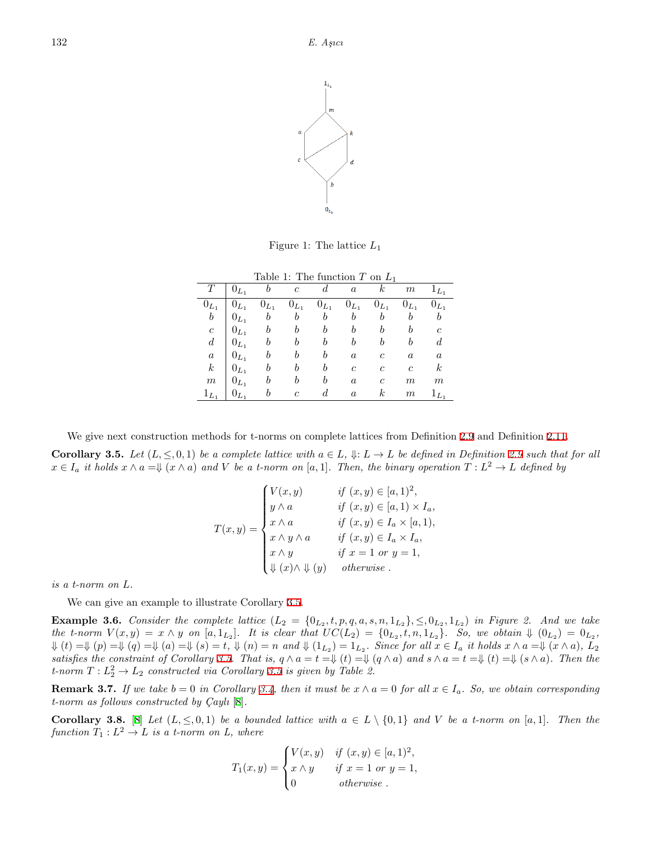

Figure 1: The lattice *L*<sup>1</sup>

| Table 1: The function T on $L_1$ |           |                  |            |           |                  |               |                  |                  |  |  |  |
|----------------------------------|-----------|------------------|------------|-----------|------------------|---------------|------------------|------------------|--|--|--|
|                                  | $0_{L_1}$ |                  | $\epsilon$ |           | $\alpha$         | k             | $\,m$            | $1_{L_1}$        |  |  |  |
| $0_{L_1}$                        | $0_{L_1}$ | $0_{L_1}$        | $0_{L_1}$  | $0_{L_1}$ | $0_{L_1}$        | $0_{L_1}$     | $0_{L_1}$        | $0_{L_1}$        |  |  |  |
| b                                | $0_{L_1}$ | $\boldsymbol{b}$ | b          | b         |                  |               |                  |                  |  |  |  |
| $\boldsymbol{c}$                 | $0_{L_1}$ |                  |            |           |                  |               |                  | $\epsilon$       |  |  |  |
| $\boldsymbol{d}$                 | $0_{L_1}$ |                  |            |           |                  |               |                  |                  |  |  |  |
| $\boldsymbol{a}$                 | $0_{L_1}$ |                  |            | h         | $\boldsymbol{a}$ | C             | $\boldsymbol{a}$ | $\boldsymbol{a}$ |  |  |  |
| $\boldsymbol{k}$                 | $0_{L_1}$ |                  |            | h         | C                | C             | $\mathfrak{c}$   | $\boldsymbol{k}$ |  |  |  |
| $\boldsymbol{m}$                 | $0_{L_1}$ |                  |            |           | $\boldsymbol{a}$ | $\mathfrak c$ | m                | m                |  |  |  |
| $1_{L_1}$                        |           |                  | c          |           | $\boldsymbol{a}$ | k             | $\,m$            | $1_{L_1}$        |  |  |  |

We give next construction methods for t-norms on complete lattices from Definition [2.9](#page-2-1) and Definition [2.11.](#page-2-2)

<span id="page-7-1"></span>**Corollary 3.5.** Let  $(L, \leq 0, 1)$  be a complete lattice with  $a \in L$ ,  $\Downarrow$ :  $L \to L$  be defined in Definition [2.9](#page-2-1) such that for all  $x \in I_a$  it holds  $x \wedge a = \Downarrow (x \wedge a)$  and V be a t-norm on [a, 1]. Then, the binary operation  $T: L^2 \to L$  defined by

$$
T(x,y) = \begin{cases} V(x,y) & \text{if } (x,y) \in [a,1)^2, \\ y \wedge a & \text{if } (x,y) \in [a,1) \times I_a, \\ x \wedge a & \text{if } (x,y) \in I_a \times [a,1), \\ x \wedge y \wedge a & \text{if } (x,y) \in I_a \times I_a, \\ x \wedge y & \text{if } x = 1 \text{ or } y = 1, \\ \Downarrow (x) \wedge \Downarrow (y) & \text{otherwise.} \end{cases}
$$

*is a t-norm on L.*

We can give an example to illustrate Corollary [3.5](#page-7-1).

**Example 3.6.** Consider the complete lattice  $(L_2 = \{0_{L_2}, t, p, q, a, s, n, 1_{L_2}\}, \leq 0_{L_2}, 1_{L_2})$  in Figure 2. And we take the t-norm  $V(x,y) = x \wedge y$  on  $[a,1_{L_2}]$ . It is clear that  $UC(L_2) = \{0_{L_2}, t, n, 1_{L_2}\}$ . So, we obtain  $\Downarrow (0_{L_2}) = 0_{L_2}$ ,  $\Downarrow(t) = \Downarrow(p) = \Downarrow(q) = \Downarrow(a) = \Downarrow(s) = t$ ,  $\Downarrow(n) = n$  and  $\Downarrow(1_{L_2}) = 1_{L_2}$ . Since for all  $x \in I_a$  it holds  $x \wedge a = \Downarrow (x \wedge a)$ ,  $L_2$ satisfies the constraint of Corollary [3.5](#page-7-1). That is,  $q \wedge a = t = \Downarrow (t) = \Downarrow (q \wedge a)$  and  $s \wedge a = t = \Downarrow (t) = \Downarrow (s \wedge a)$ . Then the *t*-norm  $T: L_2^2 \to L_2$  constructed via Corollary [3.5](#page-7-1) is given by Table 2.

**Remark 3.7.** *If we take*  $b = 0$  *in Corollary* [3.4](#page-6-0), then *it must be*  $x \wedge a = 0$  *for all*  $x \in I_a$ *. So, we obtain corresponding t-norm as follows constructed by*  $\text{Cayl}_i$  [[8\]](#page-14-0).

<span id="page-7-0"></span>**Corollary 3.8.** [[8\]](#page-14-0) Let  $(L, \leq, 0, 1)$  be a bounded lattice with  $a \in L \setminus \{0, 1\}$  and V be a t-norm on [a, 1]. Then the  $function T_1: L^2 \to L$  *is a t-norm on L, where* 

$$
T_1(x,y) = \begin{cases} V(x,y) & \text{if } (x,y) \in [a,1)^2, \\ x \wedge y & \text{if } x = 1 \text{ or } y = 1, \\ 0 & \text{otherwise.} \end{cases}
$$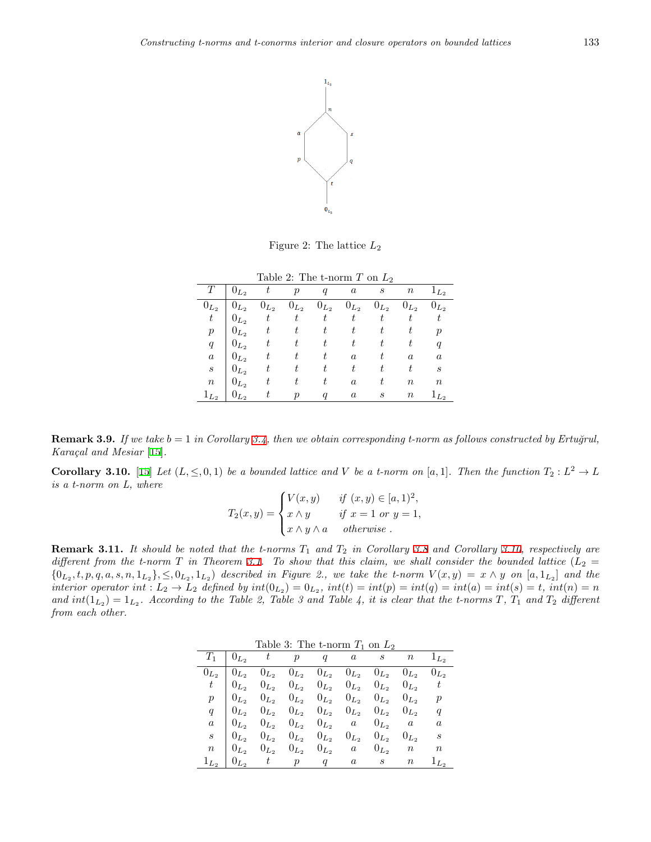

Figure 2: The lattice *L*<sup>2</sup>

| Table 2: The t-norm $T$ on $L_2$ |           |           |           |           |                  |           |                  |                  |  |  |  |
|----------------------------------|-----------|-----------|-----------|-----------|------------------|-----------|------------------|------------------|--|--|--|
|                                  | $0_{L_2}$ | t         |           | q         | $\boldsymbol{a}$ | S         | $\, n$           | $1_{L_2}$        |  |  |  |
| $0_{L_2}$                        | $0_{L_2}$ | $0_{L_2}$ | $0_{L_2}$ | $0_{L_2}$ | $0_{L_2}$        | $0_{L_2}$ | $0_{L_2}$        | $0_{L_2}$        |  |  |  |
| $\,t$                            | $0_{L_2}$ | $\,t\,$   | t         | $\,t$     | t                |           |                  | t                |  |  |  |
| $\boldsymbol{p}$                 | $0_{L_2}$ | t         | t         | t         |                  |           |                  | $\boldsymbol{p}$ |  |  |  |
| q                                | $0_{L_2}$ | t         | t.        |           | t                |           | t                | q                |  |  |  |
| $\boldsymbol{a}$                 | $0_{L_2}$ | t         | t         | t         | $\boldsymbol{a}$ |           | $\boldsymbol{a}$ | $\boldsymbol{a}$ |  |  |  |
| $\boldsymbol{s}$                 | $0_{L_2}$ | t         |           |           | t                |           | t                | S                |  |  |  |
| $\, n$                           | $0_{L_2}$ | t         |           |           | $\boldsymbol{a}$ |           | $\boldsymbol{n}$ | $\it{n}$         |  |  |  |
| $1_{L_2}$                        | $0_{L_2}$ | t.        |           |           | $\boldsymbol{a}$ | S         | $\it n$          | $1_{L_2}$        |  |  |  |

**Remark 3.9.** *If we take*  $b = 1$  *in Corollary* [3.4,](#page-6-0) *then we obtain corresponding t-norm as follows constructed by Ertuğrul, Kara¸cal and Mesiar* [\[15](#page-15-0)]*.*

<span id="page-8-0"></span>**Corollary 3.10.** [[15\]](#page-15-0) *Let*  $(L, \leq, 0, 1)$  *be a bounded lattice and V be a t-norm on* [a, 1]*. Then the function*  $T_2: L^2 \to L$ *is a t-norm on L, where*

$$
T_2(x,y) = \begin{cases} V(x,y) & \text{if } (x,y) \in [a,1)^2, \\ x \wedge y & \text{if } x = 1 \text{ or } y = 1, \\ x \wedge y \wedge a & \text{otherwise.} \end{cases}
$$

**Remark 3.11.** *It should be noted that the t-norms T*<sup>1</sup> *and T*<sup>2</sup> *in Corollary [3.8](#page-7-0) and Corollary [3.10](#page-8-0), respectively are different from the t-norm*  $T$  *in Theorem [3.1](#page-2-0). To show that this claim, we shall consider the bounded lattice*  $(L_2 =$  $\{0_{L_2}, t, p, q, a, s, n, 1_{L_2}\}, \leq 0_{L_2}, 1_{L_2}\}\;$  described in Figure 2., we take the t-norm  $V(x, y) = x \wedge y$  on  $[a, 1_{L_2}]$  and the interior operator int :  $L_2 \to L_2$  defined by  $int(0_{L_2}) = 0_{L_2}$ ,  $int(t) = int(p) = int(q) = int(a) = int(s) = t$ ,  $int(n) = n$ and  $int(1_{L_2}) = 1_{L_2}$ . According to the Table 2, Table 3 and Table 4, it is clear that the t-norms *T*, *T*<sub>1</sub> and *T*<sub>2</sub> different *from each other.*

| Table 3: The t-norm $T_1$ on $L_2$ |  |
|------------------------------------|--|
|------------------------------------|--|

|  |  | $T_1 \quad   \quad 0_{L_2} \quad t \qquad p \qquad q \qquad a \qquad s \qquad n \qquad 1_{L_2}$           |  |           |                          |
|--|--|-----------------------------------------------------------------------------------------------------------|--|-----------|--------------------------|
|  |  | $0_{L_2}$   $0_{L_2}$ $0_{L_2}$ $0_{L_2}$ $0_{L_2}$ $0_{L_2}$ $0_{L_2}$ $0_{L_2}$ $0_{L_2}$ $0_{L_2}$     |  |           |                          |
|  |  | $t \begin{bmatrix} 0_{L_2} & 0_{L_2} & 0_{L_2} & 0_{L_2} & 0_{L_2} & 0_{L_2} & 0_{L_2} & 0 \end{bmatrix}$ |  |           |                          |
|  |  | $p \begin{pmatrix} 0_{L_2} & 0_{L_2} & 0_{L_2} & 0_{L_2} & 0_{L_2} & 0_{L_2} & 0_{L_2} & p \end{pmatrix}$ |  |           |                          |
|  |  | $q \begin{pmatrix} 0_{L_2} & 0_{L_2} & 0_{L_2} & 0_{L_2} & 0_{L_2} & 0_{L_2} & 0_{L_2} & 0 \end{pmatrix}$ |  |           |                          |
|  |  | $a \begin{bmatrix} 0_{L_2} & 0_{L_2} & 0_{L_2} & 0_{L_2} & a & 0_{L_2} & a & a \end{bmatrix}$             |  |           |                          |
|  |  | $s \begin{bmatrix} 0_{L_2} & 0_{L_2} & 0_{L_2} & 0_{L_2} & 0_{L_2} & 0_{L_2} \end{bmatrix}$               |  | $0_{L_2}$ | $\overline{\mathcal{S}}$ |
|  |  | $n \begin{array}{cccccc} n & 0_{L_2} & 0_{L_2} & 0_{L_2} & 0_{L_2} & a & 0_{L_2} & n \end{array}$         |  |           | $\it{n}$                 |
|  |  | $1_{L_2}$   $0_{L_2}$ t p q a s n                                                                         |  |           | $1_{L_2}$                |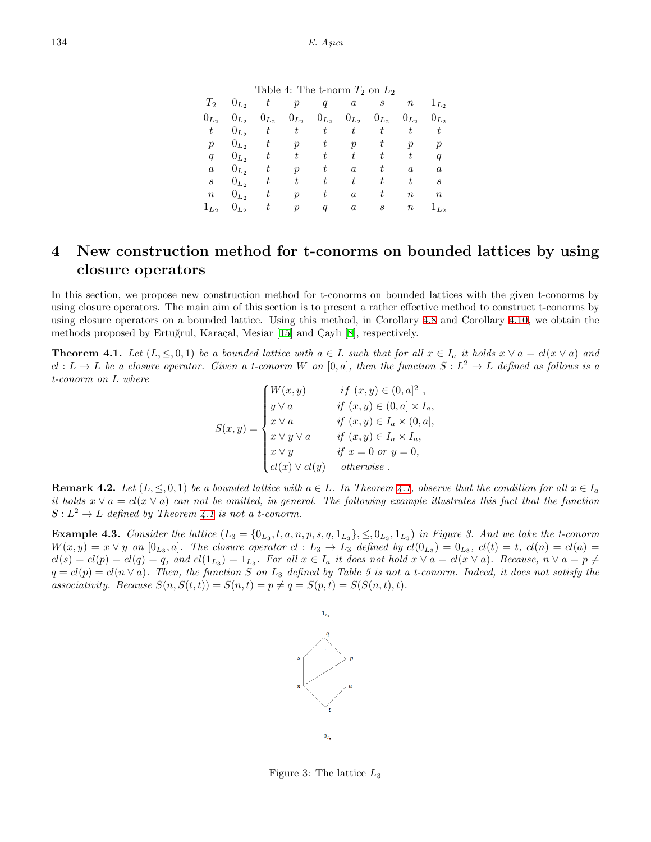Table 4: The t-norm  $T_2$  on  $L_2$ 

| $\scriptstyle T_2$ | $0_{L_2}$ |           | $\mathcal{p}$       | q                | $\boldsymbol{a}$ | $\boldsymbol{s}$ | $\it n$          | $1_{L_2}$        |
|--------------------|-----------|-----------|---------------------|------------------|------------------|------------------|------------------|------------------|
| $0_{L_2}$          | $0_{L_2}$ | $0_{L_2}$ | $0_{L_2}$           | $0_{L_2}$        | $0_{L_2}$        | $0_{L_2}$        | $0_{L_2}$        | $0_{L_2}$        |
| $\,t$              | $0_{L_2}$ | t         | t                   | $\scriptstyle t$ | t                |                  |                  | t                |
| $\boldsymbol{p}$   | $0_{L_2}$ | t         | $\boldsymbol{\eta}$ | t                | $\boldsymbol{p}$ |                  | $\boldsymbol{p}$ | $\boldsymbol{p}$ |
| q                  | $0_{L_2}$ | t         | t                   | t                | t                | t,               | t                | $\boldsymbol{q}$ |
| $\it a$            | $0_{L_2}$ | t         | $\boldsymbol{p}$    | t                | $\alpha$         | t                | $\boldsymbol{a}$ | $\boldsymbol{a}$ |
| $\boldsymbol{s}$   | $0_{L_2}$ | t         |                     |                  | t                |                  | t                | S                |
| $\, n$             | $0_{L_2}$ | t         | ŋ                   | t                | $\boldsymbol{a}$ | t                | $\it n$          | $\it n$          |
| $1_{L_2}$          | $U_{L_2}$ | t         | $\boldsymbol{\eta}$ |                  | $\boldsymbol{a}$ | S                | $\it n$          | $1_{L_2}$        |

## **4 New construction method for t-conorms on bounded lattices by using closure operators**

In this section, we propose new construction method for t-conorms on bounded lattices with the given t-conorms by using closure operators. The main aim of this section is to present a rather effective method to construct t-conorms by using closure operators on a bounded lattice. Using this method, in Corollary [4.8](#page-10-0) and Corollary [4.10,](#page-11-0) we obtain the methods proposed by Ertuğrul, Karaçal, Mesiar [[15](#page-15-0)] and Çaylı [\[8](#page-14-0)], respectively.

<span id="page-9-0"></span>**Theorem 4.1.** Let  $(L, \leq, 0, 1)$  be a bounded lattice with  $a \in L$  such that for all  $x \in I_a$  it holds  $x \vee a = cl(x \vee a)$  and  $cl: L \to L$  be a closure operator. Given a t-conorm W on  $[0,a]$ , then the function  $S: L^2 \to L$  defined as follows is a *t-conorm on L where*  $24 \times 22$ 

$$
S(x,y) = \begin{cases} W(x,y) & \text{if } (x,y) \in (0,a]^2 \\ y \vee a & \text{if } (x,y) \in (0,a] \times I_a, \\ x \vee a & \text{if } (x,y) \in I_a \times (0,a], \\ x \vee y \vee a & \text{if } (x,y) \in I_a \times I_a, \\ x \vee y & \text{if } x = 0 \text{ or } y = 0, \\ cl(x) \vee cl(y) & \text{otherwise} \end{cases}
$$

**Remark 4.2.** Let  $(L, \leq, 0, 1)$  be a bounded lattice with  $a \in L$ . In Theorem [4.1](#page-9-0), observe that the condition for all  $x \in I_a$ *it holds*  $x \vee a = cl(x \vee a)$  *can not be omitted, in general. The following example illustrates this fact that the function*  $S: L^2 \to L$  *defined by Theorem [4.1](#page-9-0) is not a t-conorm.* 

**Example 4.3.** Consider the lattice  $(L_3 = \{0_{L_3}, t, a, n, p, s, q, 1_{L_3}\}, \leq, 0_{L_3}, 1_{L_3})$  in Figure 3. And we take the t-conorm  $W(x,y) = x \vee y$  on  $[0_{L_3},a]$ . The closure operator  $cl: L_3 \to L_3$  defined by  $cl(0_{L_3}) = 0_{L_3}$ ,  $cl(t) = t$ ,  $cl(n) = cl(a)$  $cl(s) = cl(p) = cl(q) = q$ , and  $cl(1_{L_3}) = 1_{L_3}$ . For all  $x \in I_a$  it does not hold  $x \vee a = cl(x \vee a)$ . Because,  $n \vee a = p \neq$  $q = cl(p) = cl(n \vee a)$ . Then, the function *S* on  $L_3$  defined by Table 5 is not a t-conorm. Indeed, it does not satisfy the *associativity. Because*  $S(n, S(t,t)) = S(n,t) = p \neq q = S(p,t) = S(S(n,t), t)$ .



<span id="page-9-1"></span>Figure 3: The lattice *L*<sup>3</sup>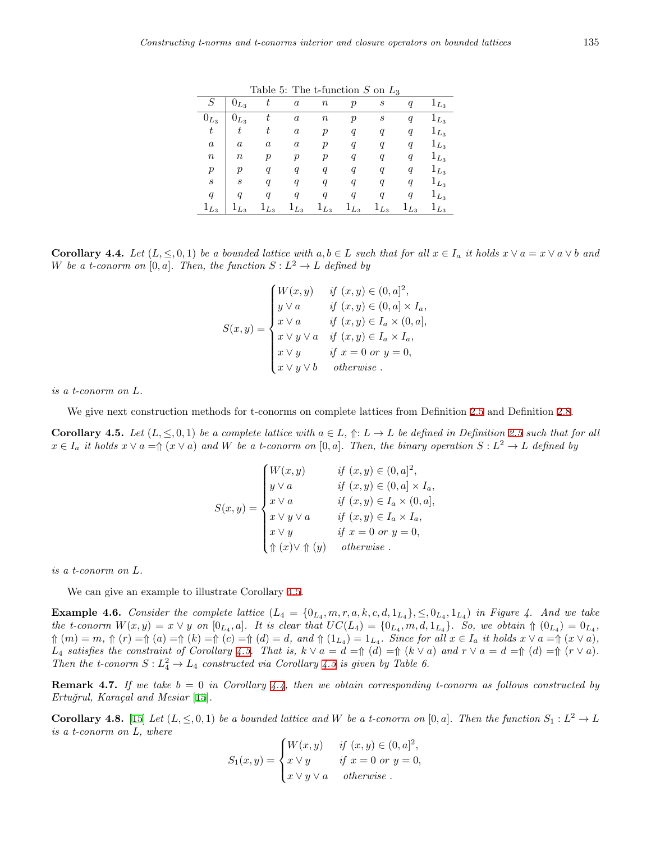|                  |                  |                  |                  |                  |                  |                  | $\cdot$          |           |
|------------------|------------------|------------------|------------------|------------------|------------------|------------------|------------------|-----------|
| S                | $0_{L_3}$        | t                | $\boldsymbol{a}$ | $\it n$          | р                | S                | q                | $1_{L_3}$ |
| $0_{L_3}$        | $0_{L_3}$        | t                | $\boldsymbol{a}$ | $\it n$          | $\boldsymbol{p}$ | $\boldsymbol{s}$ | $\boldsymbol{q}$ | $1_{L_3}$ |
| $\boldsymbol{t}$ | t                | t                | $\boldsymbol{a}$ | р                | $\boldsymbol{q}$ | q                | q                | $1_{L_3}$ |
| $\boldsymbol{a}$ | $\boldsymbol{a}$ | $\boldsymbol{a}$ | $\it a$          | р                | $\boldsymbol{q}$ | q                | q                | $1_{L_3}$ |
| $\it n$          | $\it n$          | р                | р                | р                | q                | $\overline{q}$   | q                | $1_{L_3}$ |
| $\boldsymbol{p}$ | $\boldsymbol{p}$ | q                | q                | q                | $\boldsymbol{q}$ | q                | $\boldsymbol{q}$ | $1_{L_3}$ |
| $\boldsymbol{s}$ | S                | q                | q                | q                | $\boldsymbol{q}$ | q                | $\boldsymbol{q}$ | $1_{L_3}$ |
| $\boldsymbol{q}$ | a                | a                | q                | $\boldsymbol{q}$ | q                | q                | q                | $1_{L_3}$ |
| $1_{L_3}$        | $1_{L_3}$        | $1_{L_3}$        | $1_{L_3}$        | $1_{L_3}$        | $1_{L_3}$        | $1_{L_3}$        | $1_{L_3}$        | $1_{L_3}$ |

Table 5: The t-function *S* on *L*<sup>3</sup>

**Corollary 4.4.** Let  $(L, \leq 0, 1)$  be a bounded lattice with  $a, b \in L$  such that for all  $x \in I_a$  it holds  $x \vee a = x \vee a \vee b$  and *W* be a t-conorm on  $[0, a]$ . Then, the function  $S: L^2 \to L$  defined by

$$
S(x,y) = \begin{cases} W(x,y) & \text{if } (x,y) \in (0,a]^2, \\ y \vee a & \text{if } (x,y) \in (0,a] \times I_a, \\ x \vee a & \text{if } (x,y) \in I_a \times (0,a], \\ x \vee y \vee a & \text{if } (x,y) \in I_a \times I_a, \\ x \vee y & \text{if } x = 0 \text{ or } y = 0, \\ x \vee y \vee b & \text{otherwise.} \end{cases}
$$

*is a t-conorm on L.*

We give next construction methods for t-conorms on complete lattices from Definition [2.5](#page-2-3) and Definition [2.8.](#page-2-4)

<span id="page-10-1"></span>**Corollary 4.5.** Let  $(L, \leq, 0, 1)$  be a complete lattice with  $a \in L$ ,  $\Uparrow: L \to L$  be defined in Definition [2.5](#page-2-3) such that for all  $x \in I_a$  it holds  $x \vee a = \Uparrow (x \vee a)$  and W be a t-conorm on  $[0, a]$ . Then, the binary operation  $S: L^2 \to L$  defined by

$$
S(x,y) = \begin{cases} W(x,y) & \text{if } (x,y) \in (0,a]^2, \\ y \vee a & \text{if } (x,y) \in (0,a] \times I_a, \\ x \vee a & \text{if } (x,y) \in I_a \times (0,a], \\ x \vee y \vee a & \text{if } (x,y) \in I_a \times I_a, \\ x \vee y & \text{if } x = 0 \text{ or } y = 0, \\ \Uparrow (x) \vee \Uparrow (y) & \text{otherwise.} \end{cases}
$$

*is a t-conorm on L.*

We can give an example to illustrate Corollary [4.5](#page-10-1).

**Example 4.6.** Consider the complete lattice  $(L_4 = \{0_{L_4}, m, r, a, k, c, d, 1_{L_4}\}, \leq 0_{L_4}, 1_{L_4})$  in Figure 4. And we take the t-conorm  $W(x,y) = x \vee y$  on  $[0_{L_4},a]$ . It is clear that  $UC(L_4) = \{0_{L_4}, m, d, 1_{L_4}\}$ . So, we obtain  $\Uparrow (0_{L_4}) = 0_{L_4}$ ,  $\Uparrow(m) = m$ ,  $\Uparrow(r) = \Uparrow(a) = \Uparrow(k) = \Uparrow(c) = \Uparrow(d) = d$ , and  $\Uparrow(1_{L_4}) = 1_{L_4}$ . Since for all  $x \in I_a$  it holds  $x \vee a = \Uparrow(x \vee a)$ ,  $L_4$  satisfies the constraint of Corollary [4.5](#page-10-1). That is,  $k \vee a = d = \Uparrow (d) = \Uparrow (k \vee a)$  and  $r \vee a = d = \Uparrow (d) = \Uparrow (r \vee a)$ . *Then the t-conorm*  $S: L_4^2 \to L_4$  *constructed via Corollary* [4.5](#page-10-1) *is given by Table 6.* 

**Remark 4.7.** If we take  $b = 0$  in Corollary [4.4,](#page-9-1) then we obtain corresponding t-conorm as follows constructed by *Ertu˘grul, Kara¸cal and Mesiar* [\[15](#page-15-0)]*.*

<span id="page-10-0"></span>**Corollary 4.8.** [\[15](#page-15-0)] *Let*  $(L, \leq, 0, 1)$  *be a bounded lattice and W be a t-conorm on* [0*, a*]*. Then the function*  $S_1 : L^2 \to L$ *is a t-conorm on L, where*

$$
S_1(x,y) = \begin{cases} W(x,y) & \text{if } (x,y) \in (0,a]^2, \\ x \vee y & \text{if } x = 0 \text{ or } y = 0, \\ x \vee y \vee a & \text{otherwise.} \end{cases}
$$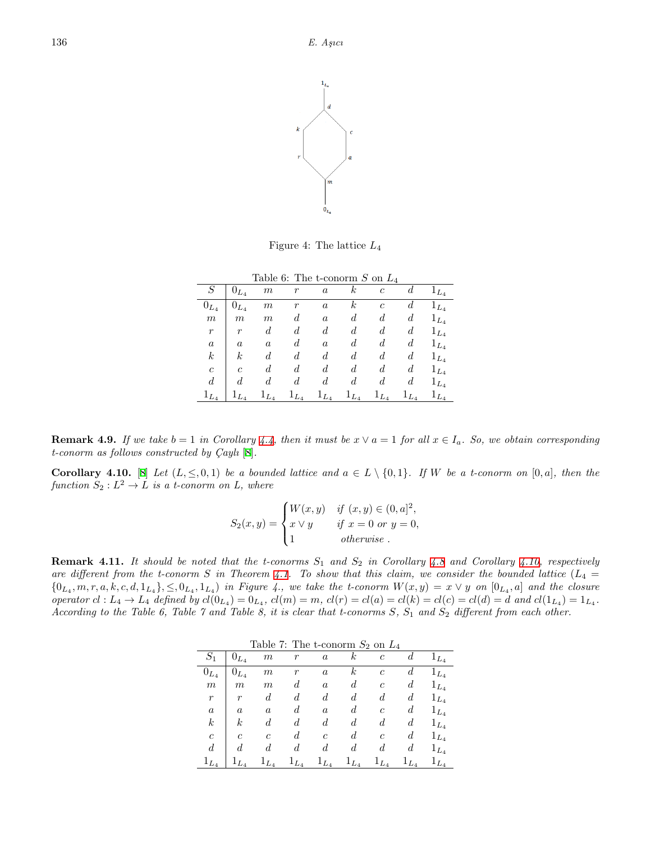

Figure 4: The lattice *L*<sup>4</sup>

|                  |                  | Table 6: The t-conorm S on $L_4$ |           |                  |                  |                  |                  |           |
|------------------|------------------|----------------------------------|-----------|------------------|------------------|------------------|------------------|-----------|
| S                | $0_{L_4}$        | $\boldsymbol{m}$                 | $\,r$     | $\boldsymbol{a}$ | k                | $\mathfrak{c}$   | d                | $1_{L_4}$ |
| $0_{L_4}$        | $0_{L_4}$        | $\,m$                            | r         | $\alpha$         | $\boldsymbol{k}$ | $\mathfrak{c}$   | d                | $1_{L_4}$ |
| $\boldsymbol{m}$ | $\boldsymbol{m}$ | m                                | d         | $\boldsymbol{a}$ | d                | d                | $\boldsymbol{d}$ | $1_{L_4}$ |
| $\boldsymbol{r}$ | $\boldsymbol{r}$ | d                                | d         | d                | d                | $\boldsymbol{d}$ | $\boldsymbol{d}$ | $1_{L_4}$ |
| $\boldsymbol{a}$ | $\boldsymbol{a}$ | $\boldsymbol{a}$                 | d         | $\boldsymbol{a}$ | d                | $\boldsymbol{d}$ | $\boldsymbol{d}$ | $1_{L_4}$ |
| $\boldsymbol{k}$ | k                | d                                | d         | d                | d                | d                | $\boldsymbol{d}$ | $1_{L_4}$ |
| $\mathfrak{c}$   | $\overline{c}$   | d                                | d         | d                | d                | d                | d                | $1_{L_4}$ |
| $\boldsymbol{d}$ | d.               | d                                | d         | d                | d                | d                | $\boldsymbol{d}$ | $1_{L_4}$ |
| $1_{L_{4}}$      | $1_{L_4}$        | $1_{L_4}$                        | $1_{L_4}$ | $1_{L_4}$        | $1_{L_4}$        | $1_{L_4}$        | $1_{L_4}$        | $1_{L_4}$ |

**Remark 4.9.** *If we take*  $b = 1$  *in Corollary* [4.4](#page-9-1), then it must be  $x \vee a = 1$  for all  $x \in I_a$ . So, we obtain corresponding *t*-conorm as follows constructed by  $Cayl<sub>1</sub> [8]$  $Cayl<sub>1</sub> [8]$ .

<span id="page-11-0"></span>**Corollary 4.10.** [[8\]](#page-14-0) Let  $(L, \leq, 0, 1)$  be a bounded lattice and  $a \in L \setminus \{0, 1\}$ . If W be a t-conorm on  $[0, a]$ , then the *function*  $S_2: L^2 \to L$  *is a t-conorm on L, where* 

$$
S_2(x,y) = \begin{cases} W(x,y) & \text{if } (x,y) \in (0,a]^2, \\ x \vee y & \text{if } x = 0 \text{ or } y = 0, \\ 1 & \text{otherwise.} \end{cases}
$$

**Remark 4.11.** *It should be noted that the t-conorms S*<sup>1</sup> *and S*<sup>2</sup> *in Corollary [4.8](#page-10-0) and Corollary [4.10](#page-11-0), respectively* are different from the t-conorm *S* in Theorem [4.1](#page-9-0). To show that this claim, we consider the bounded lattice  $(L_4 =$  $\{0_{L_4},m,r,a,k,c,d,1_{L_4}\},\leq,0_{L_4},1_{L_4}\}$  in Figure 4., we take the t-conorm  $W(x,y)=x\vee y$  on  $[0_{L_4},a]$  and the closure operator  $cl: L_4 \to L_4$  defined by  $cl(0_{L_4}) = 0_{L_4}$ ,  $cl(m) = m$ ,  $cl(r) = cl(a) = cl(k) = cl(c) = cl(d) = d$  and  $cl(1_{L_4}) = 1_{L_4}$ . *According to the Table 6, Table 7 and Table 8, it is clear that t-conorms S, S*<sup>1</sup> *and S*<sup>2</sup> *different from each other.*

|                  |                  | rable t. The e-conorm $\omega_2$ on $\mu_4$ |                  |                  |                  |                  |           |           |
|------------------|------------------|---------------------------------------------|------------------|------------------|------------------|------------------|-----------|-----------|
| $S_1$            | $0_{L_4}$        | $\boldsymbol{m}$                            | r                | $\boldsymbol{a}$ | $\boldsymbol{k}$ | $\boldsymbol{c}$ | d         | $1_{L_4}$ |
| $0_{L_4}$        | $0_{L_4}$        | $_{m}$                                      | $\boldsymbol{r}$ | $\alpha$         | $\boldsymbol{k}$ | $\mathfrak{c}$   | d         | $1_{L_4}$ |
| $\,m$            | $\boldsymbol{m}$ | $\,m$                                       | d                | $\boldsymbol{a}$ | $\boldsymbol{d}$ | с                | d         | $1_{L_4}$ |
| $\boldsymbol{r}$ | $\boldsymbol{r}$ | d                                           | d                | $\boldsymbol{d}$ | $\boldsymbol{d}$ | $\boldsymbol{d}$ | d         | $1_{L_4}$ |
| $\boldsymbol{a}$ | $\boldsymbol{a}$ | $\boldsymbol{a}$                            | d                | $\boldsymbol{a}$ | $\boldsymbol{d}$ | $\boldsymbol{c}$ | d         | $1_{L_4}$ |
| $\boldsymbol{k}$ | $\boldsymbol{k}$ | $\boldsymbol{d}$                            | d                | $\boldsymbol{d}$ | d                | $\boldsymbol{d}$ | d         | $1_{L_4}$ |
| $\mathfrak{c}$   | $\overline{c}$   | $\overline{c}$                              | d                | $\mathfrak{c}$   | $\boldsymbol{d}$ | $\boldsymbol{c}$ | d         | $1_{L_4}$ |
| d                | $\boldsymbol{d}$ | d                                           | d                | d                | $\boldsymbol{d}$ | $\boldsymbol{d}$ | d         | $1_{L_4}$ |
| $1_{L_4}$        | $1_{L_4}$        | $1_{L_4}$                                   | $1_{L_4}$        | $1_{L_4}$        | $1_{L_4}$        | $1_{L_4}$        | $1_{L_4}$ | $1_{L_4}$ |

Table  $7$ <sup>c</sup> The t-conorm  $S_2$  on  $L_4$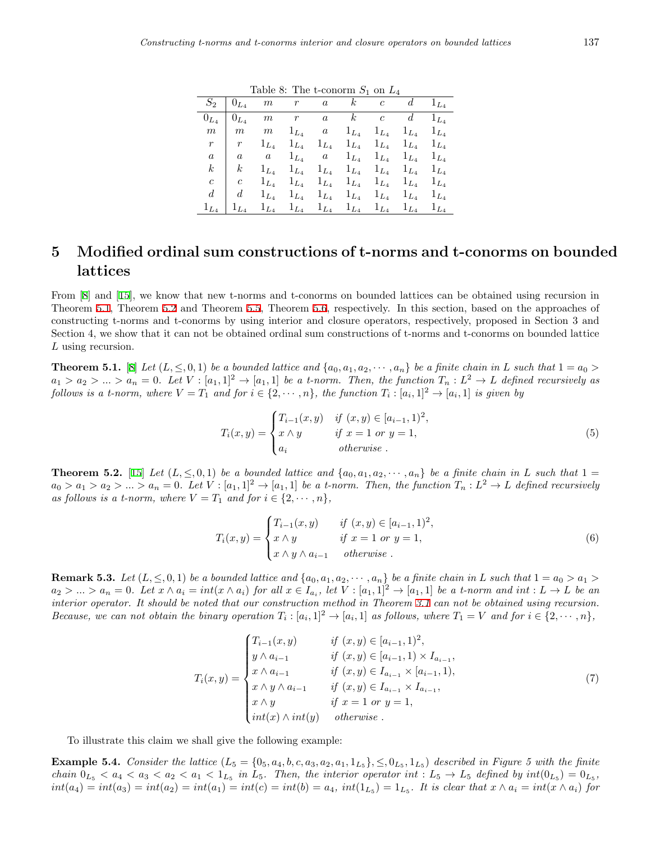|                  | $S_2 \,\mid\, 0_{L_4}$ | m         | r           |                                                   | $\overline{a}$ $k$ $c$ $d$ $1_{L_4}$ |           |                     |           |
|------------------|------------------------|-----------|-------------|---------------------------------------------------|--------------------------------------|-----------|---------------------|-----------|
| $0_{L_4}$        | $0_{L_4}$              | m         | $r$ and $r$ | $\boldsymbol{a}$                                  | $\boldsymbol{k}$                     |           | $c \t d$            | $1_{L_4}$ |
| $\,m$            | $\mid m$               | m         | $1_{L_4}$   | a                                                 | $1_{L_4}$                            | $1_{L_4}$ | $1_{L_4}$           | $1_{L_4}$ |
| $\boldsymbol{r}$ | $\mathcal{r}$          | $1_{L_4}$ | $1_{L_4}$   | $1_{L_4}$                                         | $1_{L_4}$                            |           | $1_{L_4}$ $1_{L_4}$ | $1_{L_4}$ |
| $\overline{a}$   | $\alpha$               | a         | $1_{L_4}$   | $a=1_{L_4}$                                       |                                      |           | $1_{L_4}$ $1_{L_4}$ | $1_{L_4}$ |
| $\boldsymbol{k}$ | $\boldsymbol{k}$       | $1_{L_4}$ | $1_{L_4}$   |                                                   | $1_{L_4}$ $1_{L_4}$                  |           | $1_{L_4}$ $1_{L_4}$ | $1_{L_4}$ |
| $\boldsymbol{c}$ | $\boldsymbol{c}$       | $1_{L_4}$ | $1_{L_4}$   |                                                   | $1_{L_4}$ $1_{L_4}$                  |           | $1_{L_4}$ $1_{L_4}$ | $1_{L_4}$ |
| d                | d                      | $1_{L_4}$ | $1_{L_4}$   | $1_{L_4}$                                         | $1_{L_4}$                            | $1_{L_4}$ | $1_{L_4}$           | $1_{L_4}$ |
| $1_{L_4}$        | $1_{L_4}$              | $1_{L_4}$ |             | $1_{L_4}$ $1_{L_4}$ $1_{L_4}$ $1_{L_4}$ $1_{L_4}$ |                                      |           |                     | $1_{L_4}$ |

Table 8: The t-conorm *S*<sup>1</sup> on *L*<sup>4</sup>

## **5 Modified ordinal sum constructions of t-norms and t-conorms on bounded lattices**

From [[8\]](#page-14-0) and [[15\]](#page-15-0), we know that new t-norms and t-conorms on bounded lattices can be obtained using recursion in Theorem [5.1,](#page-12-0) Theorem [5.2](#page-12-1) and Theorem [5.5](#page-13-0), Theorem [5.6](#page-13-1), respectively. In this section, based on the approaches of constructing t-norms and t-conorms by using interior and closure operators, respectively, proposed in Section 3 and Section 4, we show that it can not be obtained ordinal sum constructions of t-norms and t-conorms on bounded lattice *L* using recursion.

<span id="page-12-0"></span>**Theorem 5.1.** [[8\]](#page-14-0) Let  $(L, \leq, 0, 1)$  be a bounded lattice and  $\{a_0, a_1, a_2, \dots, a_n\}$  be a finite chain in L such that  $1 = a_0$  $a_1 > a_2 > ... > a_n = 0$ . Let  $V : [a_1, 1]^2 \to [a_1, 1]$  be a t-norm. Then, the function  $T_n : L^2 \to L$  defined recursively as follows is a t-norm, where  $V = T_1$  and for  $i \in \{2, \dots, n\}$ , the function  $T_i : [a_i, 1]^2 \to [a_i, 1]$  is given by

$$
T_i(x, y) = \begin{cases} T_{i-1}(x, y) & \text{if } (x, y) \in [a_{i-1}, 1)^2, \\ x \wedge y & \text{if } x = 1 \text{ or } y = 1, \\ a_i & \text{otherwise.} \end{cases}
$$
 (5)

<span id="page-12-1"></span>**Theorem 5.2.** [\[15](#page-15-0)] Let  $(L, \leq, 0, 1)$  be a bounded lattice and  $\{a_0, a_1, a_2, \dots, a_n\}$  be a finite chain in L such that  $1 =$  $a_0 > a_1 > a_2 > ... > a_n = 0$ . Let  $V : [a_1, 1]^2 \to [a_1, 1]$  be a t-norm. Then, the function  $T_n : L^2 \to L$  defined recursively *as follows is a t-norm, where*  $V = T_1$  *and for*  $i \in \{2, \dots, n\}$ ,

$$
T_i(x, y) = \begin{cases} T_{i-1}(x, y) & \text{if } (x, y) \in [a_{i-1}, 1)^2, \\ x \wedge y & \text{if } x = 1 \text{ or } y = 1, \\ x \wedge y \wedge a_{i-1} & \text{otherwise.} \end{cases}
$$
(6)

**Remark 5.3.** Let  $(L, \leq, 0, 1)$  be a bounded lattice and  $\{a_0, a_1, a_2, \dots, a_n\}$  be a finite chain in L such that  $1 = a_0 > a_1 > a_2$  $a_2 > ... > a_n = 0$ . Let  $x \wedge a_i = int(x \wedge a_i)$  for all  $x \in I_{a_i}$ , let  $V : [a_1,1]^2 \rightarrow [a_1,1]$  be a t-norm and int  $:L \rightarrow L$  be an *interior operator. It should be noted that our construction method in Theorem [3.1](#page-2-0) can not be obtained using recursion. Because, we can not obtain the binary operation*  $T_i : [a_i, 1]^2 \to [a_i, 1]$  *as follows, where*  $T_1 = V$  *and for*  $i \in \{2, \dots, n\}$ *,* 

$$
T_i(x,y) = \begin{cases} T_{i-1}(x,y) & \text{if } (x,y) \in [a_{i-1},1)^2, \\ y \wedge a_{i-1} & \text{if } (x,y) \in [a_{i-1},1) \times I_{a_{i-1}}, \\ x \wedge a_{i-1} & \text{if } (x,y) \in I_{a_{i-1}} \times [a_{i-1},1), \\ x \wedge y \wedge a_{i-1} & \text{if } (x,y) \in I_{a_{i-1}} \times I_{a_{i-1}}, \\ x \wedge y & \text{if } x = 1 \text{ or } y = 1, \\ \text{int}(x) \wedge \text{int}(y) & \text{otherwise.} \end{cases} \tag{7}
$$

To illustrate this claim we shall give the following example:

**Example 5.4.** Consider the lattice  $(L_5 = \{0_5, a_4, b, c, a_3, a_2, a_1, 1_{L_5}\}, \leq, 0_{L_5}, 1_{L_5})$  described in Figure 5 with the finite chain  $0_{L_5} < a_4 < a_3 < a_2 < a_1 < 1_{L_5}$  in  $L_5$ . Then, the interior operator int:  $L_5 \rightarrow L_5$  defined by  $int(0_{L_5}) = 0_{L_5}$ ,  $int(a_4) = int(a_3) = int(a_2) = int(a_1) = int(c) = int(b) = a_4$ ,  $int(1_{L_5}) = 1_{L_5}$ . It is clear that  $x \wedge a_i = int(x \wedge a_i)$  for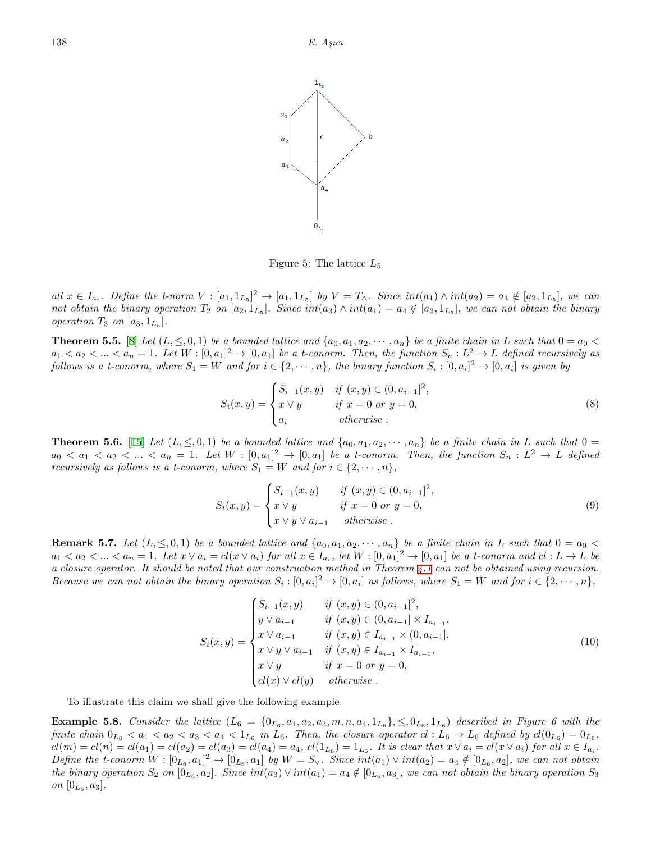

Figure 5: The lattice *L*<sup>5</sup>

all  $x \in I_{a_i}$ . Define the t-norm  $V : [a_1, 1_{L_5}]^2 \to [a_1, 1_{L_5}]$  by  $V = T_{\wedge}$ . Since  $int(a_1) \wedge int(a_2) = a_4 \notin [a_2, 1_{L_5}]$ , we can not obtain the binary operation  $T_2$  on  $[a_2, 1_{L_5}]$ . Since  $int(a_3) \wedge int(a_1) = a_4 \notin [a_3, 1_{L_5}]$ , we can not obtain the binary *operation*  $T_3$  *on*  $[a_3, 1_{L_5}]$ *.* 

<span id="page-13-0"></span>**Theorem 5.5.** [[8\]](#page-14-0) Let  $(L, \leq 0, 1)$  be a bounded lattice and  $\{a_0, a_1, a_2, \dots, a_n\}$  be a finite chain in L such that  $0 = a_0 <$  $a_1 < a_2 < ... < a_n = 1$ . Let  $W : [0, a_1]^2 \to [0, a_1]$  be a t-conorm. Then, the function  $S_n : L^2 \to L$  defined recursively as follows is a t-conorm, where  $S_1 = W$  and for  $i \in \{2, \dots, n\}$ , the binary function  $S_i : [0, a_i]^2 \to [0, a_i]$  is given by

$$
S_i(x, y) = \begin{cases} S_{i-1}(x, y) & \text{if } (x, y) \in (0, a_{i-1}]^2, \\ x \vee y & \text{if } x = 0 \text{ or } y = 0, \\ a_i & \text{otherwise.} \end{cases}
$$
 (8)

<span id="page-13-1"></span>**Theorem 5.6.** [\[15](#page-15-0)] Let  $(L, \leq, 0, 1)$  be a bounded lattice and  $\{a_0, a_1, a_2, \dots, a_n\}$  be a finite chain in L such that  $0 =$  $a_0 < a_1 < a_2 < \ldots < a_n = 1$ . Let  $W : [0, a_1]^2 \to [0, a_1]$  be a t-conorm. Then, the function  $S_n : L^2 \to L$  defined *recursively as follows is a t-conorm, where*  $S_1 = W$  *and for*  $i \in \{2, \dots, n\}$ ,

$$
S_i(x, y) = \begin{cases} S_{i-1}(x, y) & \text{if } (x, y) \in (0, a_{i-1}]^2, \\ x \vee y & \text{if } x = 0 \text{ or } y = 0, \\ x \vee y \vee a_{i-1} & \text{otherwise.} \end{cases}
$$
(9)

**Remark 5.7.** Let  $(L, \leq, 0, 1)$  be a bounded lattice and  $\{a_0, a_1, a_2, \dots, a_n\}$  be a finite chain in L such that  $0 = a_0$  $a_1 < a_2 < ... < a_n = 1$ . Let  $x \vee a_i = cl(x \vee a_i)$  for all  $x \in I_{a_i}$ , let  $W : [0, a_1]^2 \to [0, a_1]$  be a t-conorm and  $cl : L \to L$  be *a closure operator. It should be noted that our construction method in Theorem [4.1](#page-9-0) can not be obtained using recursion. Because we can not obtain the binary operation*  $S_i : [0, a_i]^2 \to [0, a_i]$  *as follows, where*  $S_1 = W$  *and for*  $i \in \{2, \dots, n\}$ ,

$$
S_i(x,y) = \begin{cases} S_{i-1}(x,y) & \text{if } (x,y) \in (0, a_{i-1}]^2, \\ y \vee a_{i-1} & \text{if } (x,y) \in (0, a_{i-1}] \times I_{a_{i-1}}, \\ x \vee a_{i-1} & \text{if } (x,y) \in I_{a_{i-1}} \times (0, a_{i-1}], \\ x \vee y \vee a_{i-1} & \text{if } (x,y) \in I_{a_{i-1}} \times I_{a_{i-1}}, \\ x \vee y & \text{if } x = 0 \text{ or } y = 0, \\ cl(x) \vee cl(y) & \text{otherwise.} \end{cases} \tag{10}
$$

To illustrate this claim we shall give the following example

**Example 5.8.** Consider the lattice  $(L_6 = \{0_{L_6}, a_1, a_2, a_3, m, n, a_4, 1_{L_6}\}, \leq, 0_{L_6}, 1_{L_6})$  described in Figure 6 with the finite chain  $0_{L_6} < a_1 < a_2 < a_3 < a_4 < 1_{L_6}$  in  $L_6$ . Then, the closure operator  $cl: L_6 \to L_6$  defined by  $cl(0_{L_6}) = 0_{L_6}$ ,  $cl(m) = cl(n) = cl(a_1) = cl(a_2) = cl(a_3) = cl(a_4) = a_4,$   $cl(1_{L_6}) = 1_{L_6}$ . It is clear that  $x \vee a_i = cl(x \vee a_i)$  for all  $x \in I_{a_i}$ . Define the t-conorm  $W:[0_{L_6},a_1]^2\to[0_{L_6},a_1]$  by  $W=S_{\vee}$ . Since  $int(a_1)\vee int(a_2)=a_4\notin[0_{L_6},a_2]$ , we can not obtain the binary operation  $S_2$  on  $[0_{L_6}, a_2]$ . Since  $int(a_3) \vee int(a_1) = a_4 \notin [0_{L_6}, a_3]$ , we can not obtain the binary operation  $S_3$ *on*  $[0_{L_6}, a_3]$ .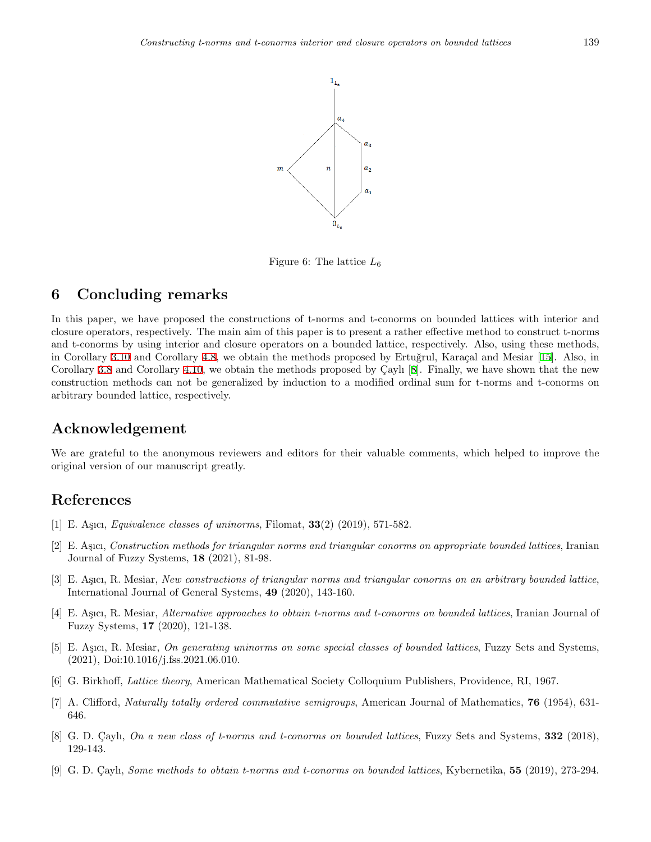

Figure 6: The lattice *L*<sup>6</sup>

#### **6 Concluding remarks**

In this paper, we have proposed the constructions of t-norms and t-conorms on bounded lattices with interior and closure operators, respectively. The main aim of this paper is to present a rather effective method to construct t-norms and t-conorms by using interior and closure operators on a bounded lattice, respectively. Also, using these methods, in Corollary [3.10](#page-8-0) and Corollary [4.8](#page-10-0), we obtain the methods proposed by Ertuğrul, Karaçal and Mesiar [[15](#page-15-0)]. Also, in Corollary [3.8](#page-7-0) and Corollary [4.10](#page-11-0), we obtain the methods proposed by Caylı [[8\]](#page-14-0). Finally, we have shown that the new construction methods can not be generalized by induction to a modified ordinal sum for t-norms and t-conorms on arbitrary bounded lattice, respectively.

#### **Acknowledgement**

We are grateful to the anonymous reviewers and editors for their valuable comments, which helped to improve the original version of our manuscript greatly.

#### **References**

- <span id="page-14-7"></span>[1] E. Aşıcı, *Equivalence classes of uninorms*, Filomat, **33**(2) (2019), 571-582.
- <span id="page-14-4"></span>[2] E. A¸sıcı, *Construction methods for triangular norms and triangular conorms on appropriate bounded lattices*, Iranian Journal of Fuzzy Systems, **18** (2021), 81-98.
- <span id="page-14-2"></span>[3] E. A¸sıcı, R. Mesiar, *New constructions of triangular norms and triangular conorms on an arbitrary bounded lattice*, International Journal of General Systems, **49** (2020), 143-160.
- <span id="page-14-3"></span>[4] E. A¸sıcı, R. Mesiar, *Alternative approaches to obtain t-norms and t-conorms on bounded lattices*, Iranian Journal of Fuzzy Systems, **17** (2020), 121-138.
- <span id="page-14-8"></span>[5] E. A¸sıcı, R. Mesiar, *On generating uninorms on some special classes of bounded lattices*, Fuzzy Sets and Systems, (2021), Doi:10.1016/j.fss.2021.06.010.
- <span id="page-14-6"></span>[6] G. Birkhoff, *Lattice theory*, American Mathematical Society Colloquium Publishers, Providence, RI, 1967.
- <span id="page-14-1"></span>[7] A. Clifford, *Naturally totally ordered commutative semigroups*, American Journal of Mathematics, **76** (1954), 631- 646.
- <span id="page-14-0"></span>[8] G. D. Çaylı, *On a new class of t-norms and t-conorms on bounded lattices*, Fuzzy Sets and Systems, **332** (2018), 129-143.
- <span id="page-14-5"></span>[9] G. D. Cayli, *Some methods to obtain t-norms and t-conorms on bounded lattices*, Kybernetika, **55** (2019), 273-294.